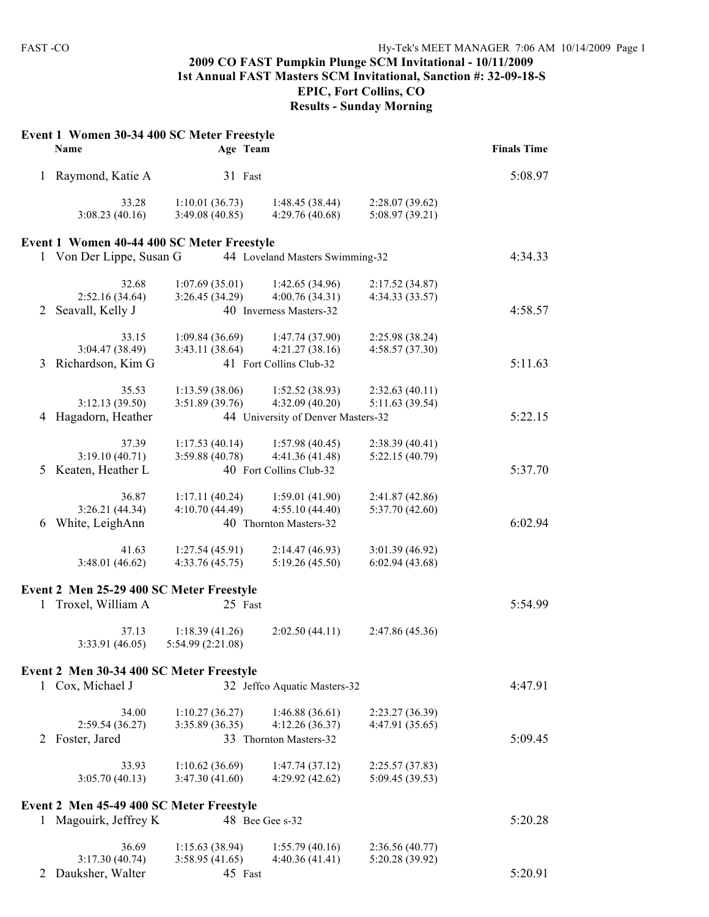#### **2009 CO FAST Pumpkin Plunge SCM Invitational - 10/11/2009 1st Annual FAST Masters SCM Invitational, Sanction #: 32-09-18-S EPIC, Fort Collins, CO Results - Sunday Morning**

|              | Event 1 Women 30-34 400 SC Meter Freestyle<br>Name | Age Team                            |                                    |                                   | <b>Finals Time</b> |
|--------------|----------------------------------------------------|-------------------------------------|------------------------------------|-----------------------------------|--------------------|
| 1            | Raymond, Katie A                                   | 31 Fast                             |                                    |                                   | 5:08.97            |
|              | 33.28<br>3:08.23(40.16)                            | 1:10.01(36.73)<br>3:49.08(40.85)    | 1:48.45(38.44)<br>4:29.76 (40.68)  | 2:28.07(39.62)<br>5:08.97 (39.21) |                    |
|              | Event 1 Women 40-44 400 SC Meter Freestyle         |                                     |                                    |                                   |                    |
|              | 1 Von Der Lippe, Susan G                           |                                     | 44 Loveland Masters Swimming-32    |                                   | 4:34.33            |
|              | 32.68                                              | 1:07.69(35.01)                      | 1:42.65(34.96)                     | 2:17.52(34.87)                    |                    |
|              | 2:52.16(34.64)                                     | 3:26.45(34.29)                      | 4:00.76(34.31)                     | 4:34.33 (33.57)                   |                    |
| 2            | Seavall, Kelly J                                   |                                     | 40 Inverness Masters-32            |                                   | 4:58.57            |
|              | 33.15                                              | 1:09.84(36.69)                      | 1:47.74(37.90)                     | 2:25.98 (38.24)                   |                    |
|              | 3:04.47 (38.49)                                    | 3:43.11(38.64)                      | 4:21.27(38.16)                     | 4:58.57 (37.30)                   |                    |
| 3            | Richardson, Kim G                                  |                                     | 41 Fort Collins Club-32            |                                   | 5:11.63            |
|              | 35.53                                              | 1:13.59(38.06)                      | 1:52.52(38.93)                     | 2:32.63(40.11)                    |                    |
|              | 3:12.13(39.50)                                     | 3:51.89 (39.76)                     | 4:32.09(40.20)                     | 5:11.63 (39.54)                   |                    |
| 4            | Hagadorn, Heather                                  |                                     | 44 University of Denver Masters-32 |                                   | 5:22.15            |
|              | 37.39                                              | 1:17.53(40.14)                      | 1:57.98(40.45)                     | 2:38.39(40.41)                    |                    |
|              | 3:19.10(40.71)                                     | 3:59.88(40.78)                      | 4:41.36 (41.48)                    | 5:22.15 (40.79)                   |                    |
| 5.           | Keaten, Heather L                                  |                                     | 40 Fort Collins Club-32            |                                   | 5:37.70            |
|              | 36.87                                              | 1:17.11(40.24)                      | 1:59.01(41.90)                     | 2:41.87(42.86)                    |                    |
|              | 3:26.21(44.34)                                     | 4:10.70(44.49)                      | 4:55.10(44.40)                     | 5:37.70 (42.60)                   |                    |
|              | 6 White, LeighAnn                                  |                                     | 40 Thornton Masters-32             |                                   | 6:02.94            |
|              | 41.63                                              | 1:27.54(45.91)                      | 2:14.47(46.93)                     | 3:01.39 (46.92)                   |                    |
|              | 3:48.01(46.62)                                     | 4:33.76(45.75)                      | 5:19.26(45.50)                     | 6:02.94(43.68)                    |                    |
|              | Event 2 Men 25-29 400 SC Meter Freestyle           |                                     |                                    |                                   |                    |
| $\mathbf{1}$ | Troxel, William A                                  | 25 Fast                             |                                    |                                   | 5:54.99            |
|              | 37.13<br>3:33.91 (46.05)                           | 1:18.39(41.26)<br>5:54.99 (2:21.08) | 2:02.50(44.11)                     | 2:47.86 (45.36)                   |                    |
|              | Event 2 Men 30-34 400 SC Meter Freestyle           |                                     |                                    |                                   |                    |
|              | 1 Cox, Michael J                                   |                                     | 32 Jeffco Aquatic Masters-32       |                                   | 4:47.91            |
|              | 34.00                                              | 1:10.27(36.27)                      | 1:46.88(36.61)                     | 2:23.27 (36.39)                   |                    |
|              | 2:59.54(36.27)                                     | 3:35.89 (36.35)                     | 4:12.26(36.37)                     | 4:47.91 (35.65)                   |                    |
| 2            | Foster, Jared                                      |                                     | 33 Thornton Masters-32             |                                   | 5:09.45            |
|              | 33.93                                              | 1:10.62(36.69)                      | 1:47.74(37.12)                     | 2:25.57(37.83)                    |                    |
|              | 3:05.70(40.13)                                     | 3:47.30 (41.60)                     | 4:29.92 (42.62)                    | 5:09.45 (39.53)                   |                    |
|              | Event 2 Men 45-49 400 SC Meter Freestyle           |                                     |                                    |                                   |                    |
| $\mathbf{1}$ | Magouirk, Jeffrey K                                |                                     | 48 Bee Gee s-32                    |                                   | 5:20.28            |
|              | 36.69                                              | 1:15.63(38.94)                      | 1:55.79(40.16)                     | 2:36.56(40.77)                    |                    |
|              | 3:17.30(40.74)                                     | 3:58.95(41.65)                      | 4:40.36(41.41)                     | 5:20.28 (39.92)                   |                    |
| 2            | Dauksher, Walter                                   | 45 Fast                             |                                    |                                   | 5:20.91            |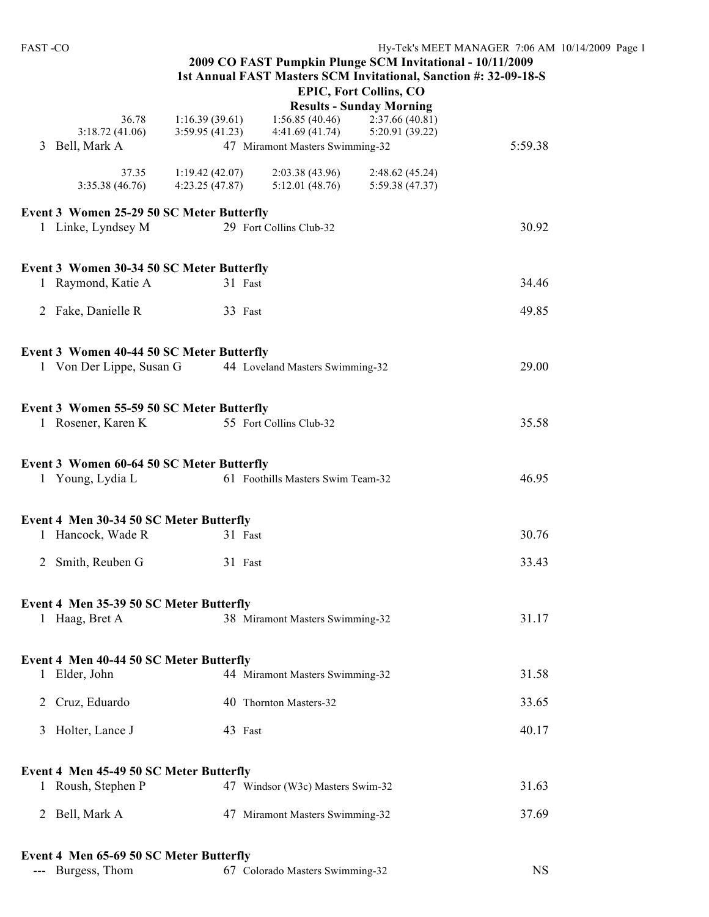| <b>FAST-CO</b>                            |                                  |                                   | 2009 CO FAST Pumpkin Plunge SCM Invitational - 10/11/2009<br>1st Annual FAST Masters SCM Invitational, Sanction #: 32-09-18-S | Hy-Tek's MEET MANAGER 7:06 AM 10/1 |
|-------------------------------------------|----------------------------------|-----------------------------------|-------------------------------------------------------------------------------------------------------------------------------|------------------------------------|
|                                           |                                  |                                   | <b>EPIC, Fort Collins, CO</b><br><b>Results - Sunday Morning</b>                                                              |                                    |
| 36.78                                     | 1:16.39(39.61)                   | 1:56.85(40.46)                    | 2:37.66(40.81)                                                                                                                |                                    |
| 3:18.72(41.06)                            | 3:59.95(41.23)                   | 4:41.69(41.74)                    | 5:20.91 (39.22)                                                                                                               |                                    |
| Bell, Mark A<br>3                         |                                  | 47 Miramont Masters Swimming-32   |                                                                                                                               | 5:59.38                            |
| 37.35<br>3:35.38 (46.76)                  | 1:19.42(42.07)<br>4:23.25(47.87) | 2:03.38(43.96)<br>5:12.01(48.76)  | 2:48.62(45.24)<br>5:59.38 (47.37)                                                                                             |                                    |
| Event 3 Women 25-29 50 SC Meter Butterfly |                                  |                                   |                                                                                                                               |                                    |
| 1 Linke, Lyndsey M                        |                                  | 29 Fort Collins Club-32           |                                                                                                                               | 30.92                              |
| Event 3 Women 30-34 50 SC Meter Butterfly |                                  |                                   |                                                                                                                               |                                    |
| 1 Raymond, Katie A                        | 31 Fast                          |                                   |                                                                                                                               | 34.46                              |
| 2 Fake, Danielle R                        | 33 Fast                          |                                   |                                                                                                                               | 49.85                              |
| Event 3 Women 40-44 50 SC Meter Butterfly |                                  |                                   |                                                                                                                               |                                    |
| 1 Von Der Lippe, Susan G                  |                                  | 44 Loveland Masters Swimming-32   |                                                                                                                               | 29.00                              |
| Event 3 Women 55-59 50 SC Meter Butterfly |                                  |                                   |                                                                                                                               |                                    |
| 1 Rosener, Karen K                        |                                  | 55 Fort Collins Club-32           |                                                                                                                               | 35.58                              |
| Event 3 Women 60-64 50 SC Meter Butterfly |                                  |                                   |                                                                                                                               |                                    |
| 1 Young, Lydia L                          |                                  | 61 Foothills Masters Swim Team-32 |                                                                                                                               | 46.95                              |
| Event 4 Men 30-34 50 SC Meter Butterfly   |                                  |                                   |                                                                                                                               |                                    |
| 1 Hancock, Wade R                         | 31 Fast                          |                                   |                                                                                                                               | 30.76                              |
| 2 Smith, Reuben G                         | 31 Fast                          |                                   |                                                                                                                               | 33.43                              |
| Event 4 Men 35-39 50 SC Meter Butterfly   |                                  |                                   |                                                                                                                               |                                    |
| 1 Haag, Bret A                            |                                  | 38 Miramont Masters Swimming-32   |                                                                                                                               | 31.17                              |
| Event 4 Men 40-44 50 SC Meter Butterfly   |                                  |                                   |                                                                                                                               |                                    |
| 1 Elder, John                             |                                  | 44 Miramont Masters Swimming-32   |                                                                                                                               | 31.58                              |
| Cruz, Eduardo<br>2                        |                                  | 40 Thornton Masters-32            |                                                                                                                               | 33.65                              |
| Holter, Lance J<br>3                      | 43 Fast                          |                                   |                                                                                                                               | 40.17                              |
| Event 4 Men 45-49 50 SC Meter Butterfly   |                                  |                                   |                                                                                                                               |                                    |
| 1 Roush, Stephen P                        |                                  | 47 Windsor (W3c) Masters Swim-32  |                                                                                                                               | 31.63                              |
| Bell, Mark A<br>2                         |                                  | 47 Miramont Masters Swimming-32   |                                                                                                                               | 37.69                              |
| Event 4 Men 65-69 50 SC Meter Butterfly   |                                  |                                   |                                                                                                                               |                                    |

| --- Burgess, Thom | 67 Colorado Masters Swimming-32 | $_{\rm NS}$ |
|-------------------|---------------------------------|-------------|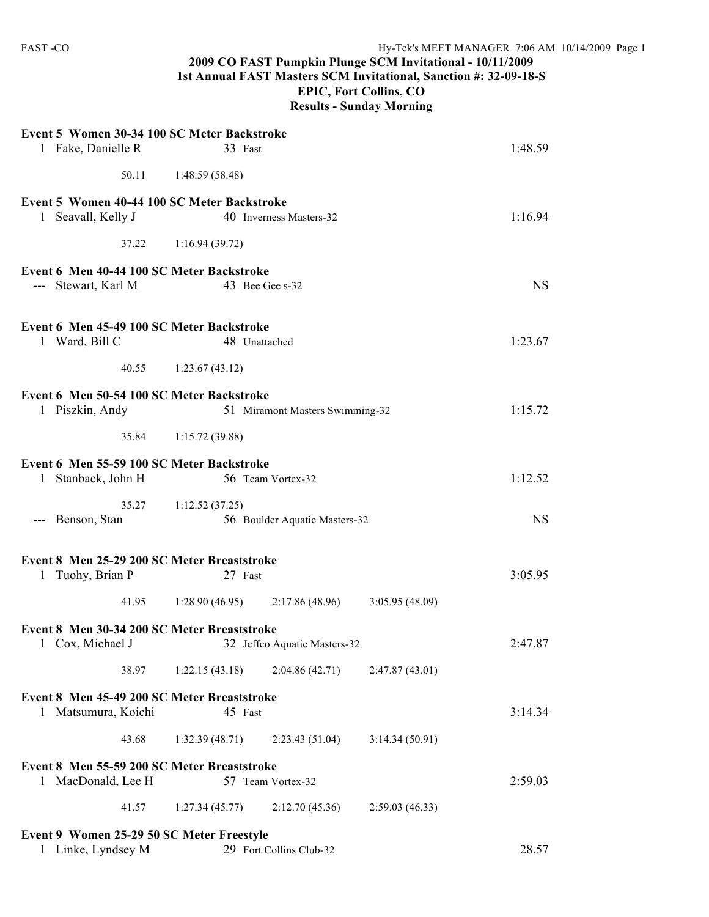# **2009 CO FAST Pumpkin Plunge SCM Invitational - 10/11/2009 1st Annual FAST Masters SCM Invitational, Sanction #: 32-09-18-S EPIC, Fort Collins, CO**

**Results - Sunday Morning**

| Event 5 Women 30-34 100 SC Meter Backstroke<br>1 Fake, Danielle R                            |                       | 33 Fast                                            |                | 1:48.59   |
|----------------------------------------------------------------------------------------------|-----------------------|----------------------------------------------------|----------------|-----------|
|                                                                                              |                       |                                                    |                |           |
| 50.11                                                                                        | 1:48.59 (58.48)       |                                                    |                |           |
| Event 5 Women 40-44 100 SC Meter Backstroke<br>1 Seavall, Kelly J                            |                       | 40 Inverness Masters-32                            |                | 1:16.94   |
|                                                                                              | 37.22 1:16.94 (39.72) |                                                    |                |           |
| Event 6 Men 40-44 100 SC Meter Backstroke<br>--- Stewart, Karl M                             |                       | 43 Bee Gee s-32                                    |                | <b>NS</b> |
| Event 6 Men 45-49 100 SC Meter Backstroke                                                    |                       |                                                    |                |           |
| 1 Ward, Bill C                                                                               |                       | 48 Unattached                                      |                | 1:23.67   |
|                                                                                              | 40.55 1:23.67 (43.12) |                                                    |                |           |
| Event 6 Men 50-54 100 SC Meter Backstroke<br>1 Piszkin, Andy                                 |                       | 51 Miramont Masters Swimming-32                    |                | 1:15.72   |
| 35.84                                                                                        | 1:15.72(39.88)        |                                                    |                |           |
| Event 6 Men 55-59 100 SC Meter Backstroke<br>1 Stanback, John H                              |                       | 56 Team Vortex-32                                  |                | 1:12.52   |
| --- Benson, Stan                                                                             | 35.27 1:12.52 (37.25) | 56 Boulder Aquatic Masters-32                      |                | <b>NS</b> |
| Event 8 Men 25-29 200 SC Meter Breaststroke<br>1 Tuohy, Brian P                              |                       | 27 Fast                                            |                | 3:05.95   |
| 41.95                                                                                        |                       | $1:28.90(46.95)$ $2:17.86(48.96)$ $3:05.95(48.09)$ |                |           |
| Event 8 Men 30-34 200 SC Meter Breaststroke<br>1 Cox, Michael J 32 Jeffco Aquatic Masters-32 |                       |                                                    |                | 2:47.87   |
| 38.97                                                                                        | 1:22.15(43.18)        | 2:04.86(42.71)                                     | 2:47.87(43.01) |           |
| Event 8 Men 45-49 200 SC Meter Breaststroke<br>1 Matsumura, Koichi                           |                       | 45 Fast                                            |                | 3:14.34   |
| 43.68                                                                                        | 1:32.39(48.71)        | 2:23.43(51.04)                                     | 3:14.34(50.91) |           |
| Event 8 Men 55-59 200 SC Meter Breaststroke<br>1 MacDonald, Lee H                            |                       | 57 Team Vortex-32                                  |                | 2:59.03   |
| 41.57                                                                                        | 1:27.34(45.77)        | 2:12.70(45.36)                                     | 2:59.03(46.33) |           |
| Event 9 Women 25-29 50 SC Meter Freestyle<br>1 Linke, Lyndsey M                              |                       | 29 Fort Collins Club-32                            |                | 28.57     |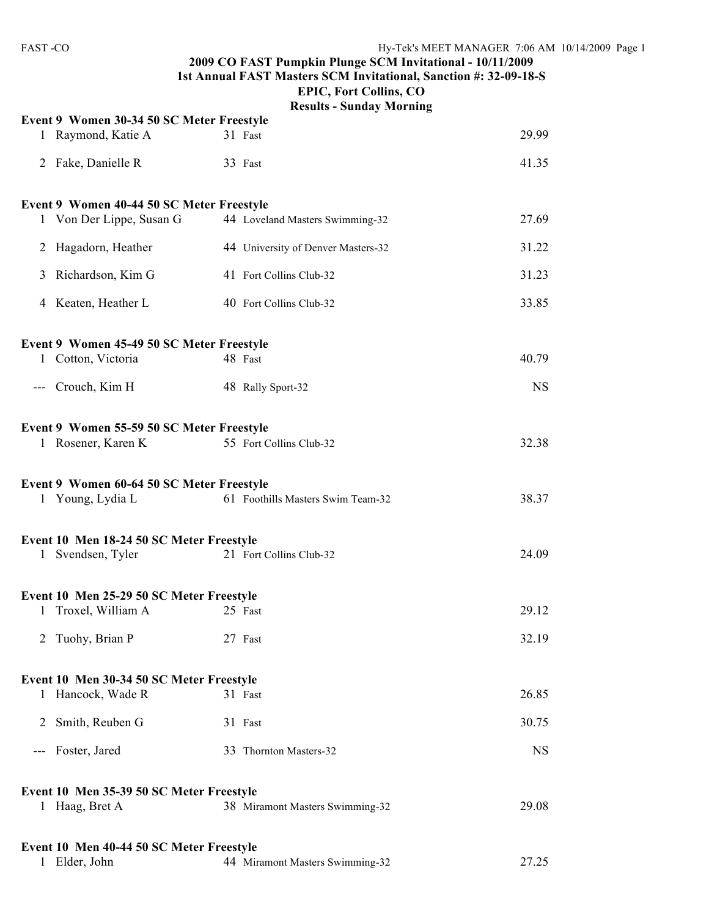#### **2009 CO FAST Pumpkin Plunge SCM Invitational - 10/11/2009 1st Annual FAST Masters SCM Invitational, Sanction #: 32-09-18-S EPIC, Fort Collins, CO**

|                                           | <b>Results - Sunday Morning</b>    |           |
|-------------------------------------------|------------------------------------|-----------|
| Event 9 Women 30-34 50 SC Meter Freestyle |                                    |           |
| 1 Raymond, Katie A                        | 31 Fast                            | 29.99     |
| 2 Fake, Danielle R                        | 33 Fast                            | 41.35     |
| Event 9 Women 40-44 50 SC Meter Freestyle |                                    |           |
| 1 Von Der Lippe, Susan G                  | 44 Loveland Masters Swimming-32    | 27.69     |
| Hagadorn, Heather<br>2                    | 44 University of Denver Masters-32 | 31.22     |
| Richardson, Kim G<br>3                    | 41 Fort Collins Club-32            | 31.23     |
| 4 Keaten, Heather L                       | 40 Fort Collins Club-32            | 33.85     |
| Event 9 Women 45-49 50 SC Meter Freestyle |                                    |           |
| 1 Cotton, Victoria                        | 48 Fast                            | 40.79     |
| --- Crouch, Kim H                         | 48 Rally Sport-32                  | <b>NS</b> |
| Event 9 Women 55-59 50 SC Meter Freestyle |                                    |           |
| 1 Rosener, Karen K                        | 55 Fort Collins Club-32            | 32.38     |
| Event 9 Women 60-64 50 SC Meter Freestyle |                                    |           |
| 1 Young, Lydia L                          | 61 Foothills Masters Swim Team-32  | 38.37     |
| Event 10 Men 18-24 50 SC Meter Freestyle  |                                    |           |
| Svendsen, Tyler<br>1                      | 21 Fort Collins Club-32            | 24.09     |
| Event 10 Men 25-29 50 SC Meter Freestyle  |                                    |           |
| 1 Troxel, William A                       | 25 Fast                            | 29.12     |
| Tuohy, Brian P<br>2                       | 27 Fast                            | 32.19     |
| Event 10 Men 30-34 50 SC Meter Freestyle  |                                    |           |
| Hancock, Wade R<br>1                      | 31 Fast                            | 26.85     |
| Smith, Reuben G<br>2                      | 31 Fast                            | 30.75     |
| Foster, Jared<br>$---$                    | 33 Thornton Masters-32             | <b>NS</b> |
| Event 10 Men 35-39 50 SC Meter Freestyle  |                                    |           |
| 1 Haag, Bret A                            | 38 Miramont Masters Swimming-32    | 29.08     |
| Event 10 Men 40-44 50 SC Meter Freestyle  |                                    |           |
| Elder, John<br>$\mathbf{1}$               | 44 Miramont Masters Swimming-32    | 27.25     |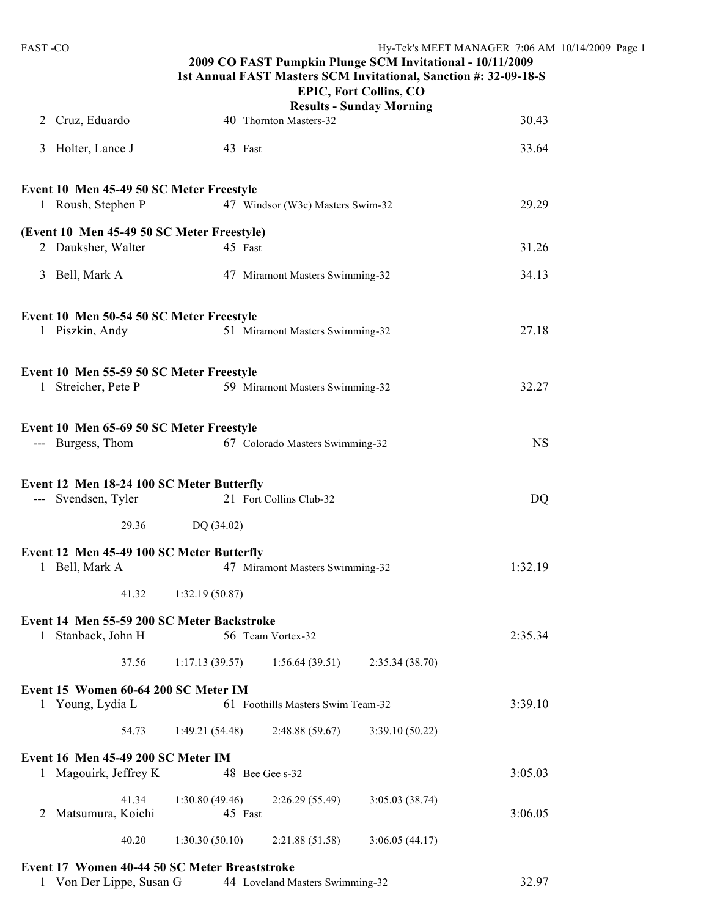| <b>FAST-CO</b>                                                            |                           |                                   | 2009 CO FAST Pumpkin Plunge SCM Invitational - 10/11/2009<br>1st Annual FAST Masters SCM Invitational, Sanction #: 32-09-18-S<br><b>EPIC, Fort Collins, CO</b> | Hy-Tek's MEET MANAGER 7:06 AM 10/14/2009 Page 1 |  |
|---------------------------------------------------------------------------|---------------------------|-----------------------------------|----------------------------------------------------------------------------------------------------------------------------------------------------------------|-------------------------------------------------|--|
|                                                                           |                           |                                   | <b>Results - Sunday Morning</b>                                                                                                                                |                                                 |  |
| 2 Cruz, Eduardo                                                           |                           | 40 Thornton Masters-32            |                                                                                                                                                                | 30.43                                           |  |
| 3 Holter, Lance J                                                         | 43 Fast                   |                                   |                                                                                                                                                                | 33.64                                           |  |
| Event 10 Men 45-49 50 SC Meter Freestyle<br>1 Roush, Stephen P            |                           | 47 Windsor (W3c) Masters Swim-32  |                                                                                                                                                                | 29.29                                           |  |
|                                                                           |                           |                                   |                                                                                                                                                                |                                                 |  |
| (Event 10 Men 45-49 50 SC Meter Freestyle)<br>2 Dauksher, Walter          | 45 Fast                   |                                   |                                                                                                                                                                | 31.26                                           |  |
| 3 Bell, Mark A                                                            |                           | 47 Miramont Masters Swimming-32   |                                                                                                                                                                | 34.13                                           |  |
| Event 10 Men 50-54 50 SC Meter Freestyle                                  |                           |                                   |                                                                                                                                                                |                                                 |  |
| 1 Piszkin, Andy                                                           |                           | 51 Miramont Masters Swimming-32   |                                                                                                                                                                | 27.18                                           |  |
| Event 10 Men 55-59 50 SC Meter Freestyle                                  |                           |                                   |                                                                                                                                                                |                                                 |  |
| 1 Streicher, Pete P                                                       |                           | 59 Miramont Masters Swimming-32   |                                                                                                                                                                | 32.27                                           |  |
| Event 10 Men 65-69 50 SC Meter Freestyle                                  |                           |                                   |                                                                                                                                                                |                                                 |  |
| --- Burgess, Thom                                                         |                           | 67 Colorado Masters Swimming-32   |                                                                                                                                                                | <b>NS</b>                                       |  |
| Event 12 Men 18-24 100 SC Meter Butterfly<br>--- Svendsen, Tyler          |                           | 21 Fort Collins Club-32           |                                                                                                                                                                | DQ                                              |  |
| 29.36                                                                     | DQ (34.02)                |                                   |                                                                                                                                                                |                                                 |  |
| Event 12 Men 45-49 100 SC Meter Butterfly                                 |                           |                                   |                                                                                                                                                                |                                                 |  |
| 1 Bell, Mark A                                                            |                           | 47 Miramont Masters Swimming-32   |                                                                                                                                                                | 1:32.19                                         |  |
| 41.32                                                                     | 1:32.19(50.87)            |                                   |                                                                                                                                                                |                                                 |  |
| Event 14 Men 55-59 200 SC Meter Backstroke<br>1 Stanback, John H          |                           | 56 Team Vortex-32                 |                                                                                                                                                                | 2:35.34                                         |  |
| 37.56                                                                     | 1:17.13(39.57)            | 1:56.64(39.51)                    | 2:35.34(38.70)                                                                                                                                                 |                                                 |  |
| Event 15 Women 60-64 200 SC Meter IM<br>1 Young, Lydia L                  |                           | 61 Foothills Masters Swim Team-32 |                                                                                                                                                                | 3:39.10                                         |  |
| 54.73                                                                     | 1:49.21(54.48)            | 2:48.88(59.67)                    | 3:39.10(50.22)                                                                                                                                                 |                                                 |  |
| Event 16 Men 45-49 200 SC Meter IM<br>1 Magouirk, Jeffrey K               | 48 Bee Gee s-32           |                                   |                                                                                                                                                                | 3:05.03                                         |  |
|                                                                           |                           |                                   |                                                                                                                                                                |                                                 |  |
| 41.34<br>Matsumura, Koichi<br>2                                           | 1:30.80(49.46)<br>45 Fast | 2:26.29(55.49)                    | 3:05.03(38.74)                                                                                                                                                 | 3:06.05                                         |  |
| 40.20                                                                     | 1:30.30(50.10)            | 2:21.88(51.58)                    | 3:06.05(44.17)                                                                                                                                                 |                                                 |  |
| Event 17 Women 40-44 50 SC Meter Breaststroke<br>1 Von Der Lippe, Susan G |                           | 44 Loveland Masters Swimming-32   |                                                                                                                                                                | 32.97                                           |  |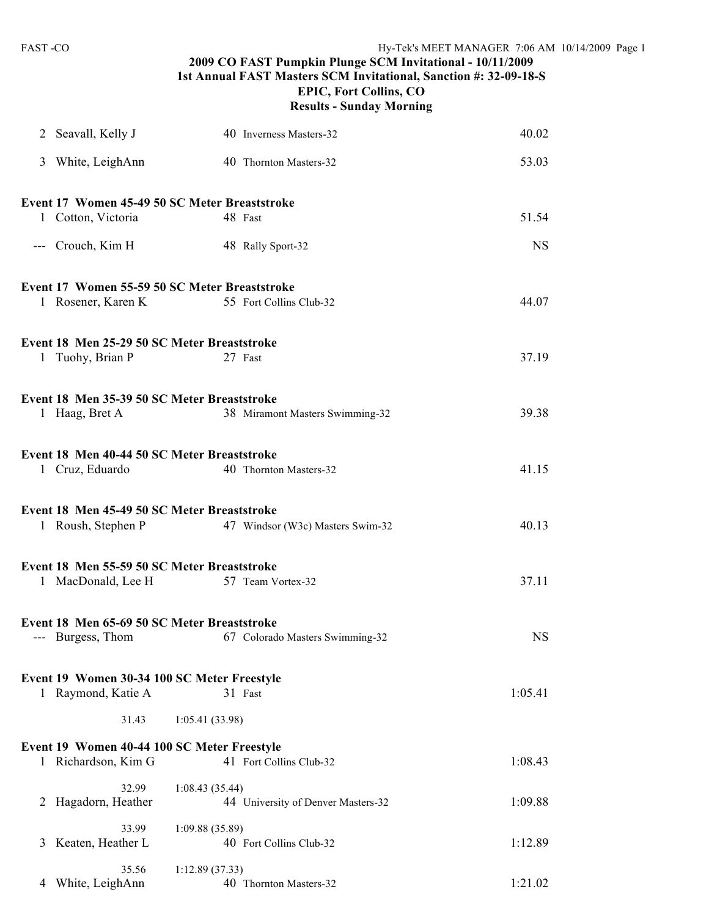|                                               | пте, того социля се<br><b>Results - Sunday Morning</b> |           |
|-----------------------------------------------|--------------------------------------------------------|-----------|
| 2 Seavall, Kelly J                            | 40 Inverness Masters-32                                | 40.02     |
| 3 White, LeighAnn                             | 40 Thornton Masters-32                                 | 53.03     |
| Event 17 Women 45-49 50 SC Meter Breaststroke |                                                        |           |
| 1 Cotton, Victoria                            | 48 Fast                                                | 51.54     |
| --- Crouch, Kim H                             | 48 Rally Sport-32                                      | <b>NS</b> |
| Event 17 Women 55-59 50 SC Meter Breaststroke |                                                        |           |
| 1 Rosener, Karen K                            | 55 Fort Collins Club-32                                | 44.07     |
| Event 18 Men 25-29 50 SC Meter Breaststroke   |                                                        |           |
| 1 Tuohy, Brian P                              | 27 Fast                                                | 37.19     |
| Event 18 Men 35-39 50 SC Meter Breaststroke   |                                                        |           |
| 1 Haag, Bret A                                | 38 Miramont Masters Swimming-32                        | 39.38     |
| Event 18 Men 40-44 50 SC Meter Breaststroke   |                                                        |           |
| 1 Cruz, Eduardo                               | 40 Thornton Masters-32                                 | 41.15     |
| Event 18 Men 45-49 50 SC Meter Breaststroke   |                                                        |           |
| 1 Roush, Stephen P                            | 47 Windsor (W3c) Masters Swim-32                       | 40.13     |
| Event 18 Men 55-59 50 SC Meter Breaststroke   |                                                        |           |
|                                               | 1 MacDonald, Lee H 57 Team Vortex-32                   | 37.11     |
| Event 18 Men 65-69 50 SC Meter Breaststroke   |                                                        |           |
| --- Burgess, Thom                             | 67 Colorado Masters Swimming-32                        | <b>NS</b> |

### **2009 CO FAST Pumpkin Plunge SCM Invitational - 10/11/2009 1st Annual FAST Masters SCM Invitational, Sanction #: 32-09-18-S EPIC, Fort Collins, CO Sunday Morning**

|   | Event 17 Women 55-59 50 SC Meter Breaststroke                      |                                            |           |
|---|--------------------------------------------------------------------|--------------------------------------------|-----------|
|   |                                                                    | 1 Rosener, Karen K 55 Fort Collins Club-32 | 44.07     |
|   | Event 18 Men 25-29 50 SC Meter Breaststroke                        |                                            |           |
|   | 1 Tuohy, Brian P                                                   | 27 Fast                                    | 37.19     |
|   | Event 18 Men 35-39 50 SC Meter Breaststroke                        |                                            |           |
|   | 1 Haag, Bret A                                                     | 38 Miramont Masters Swimming-32            | 39.38     |
|   | Event 18 Men 40-44 50 SC Meter Breaststroke                        |                                            |           |
|   | 1 Cruz, Eduardo                                                    | 40 Thornton Masters-32                     | 41.15     |
|   | Event 18 Men 45-49 50 SC Meter Breaststroke                        |                                            |           |
|   | 1 Roush, Stephen P                                                 | 47 Windsor (W3c) Masters Swim-32           | 40.13     |
|   | Event 18 Men 55-59 50 SC Meter Breaststroke                        |                                            |           |
|   | 1 MacDonald, Lee H                                                 | 57 Team Vortex-32                          | 37.11     |
|   | Event 18 Men 65-69 50 SC Meter Breaststroke                        |                                            |           |
|   | --- Burgess, Thom                                                  | 67 Colorado Masters Swimming-32            | <b>NS</b> |
|   | Event 19 Women 30-34 100 SC Meter Freestyle                        |                                            |           |
|   | 1 Raymond, Katie A                                                 | 31 Fast                                    | 1:05.41   |
|   | 31.43 1:05.41 (33.98)                                              |                                            |           |
|   | Event 19 Women 40-44 100 SC Meter Freestyle<br>1 Richardson, Kim G | 41 Fort Collins Club-32                    | 1:08.43   |
|   | 32.99                                                              | 1:08.43(35.44)                             |           |
| 2 | Hagadorn, Heather                                                  | 44 University of Denver Masters-32         | 1:09.88   |
| 3 | 33.99<br>Keaten, Heather L                                         | 1:09.88(35.89)<br>40 Fort Collins Club-32  | 1:12.89   |
|   | 35.56                                                              | 1:12.89(37.33)                             |           |

4 White, LeighAnn 40 Thornton Masters-32 1:21.02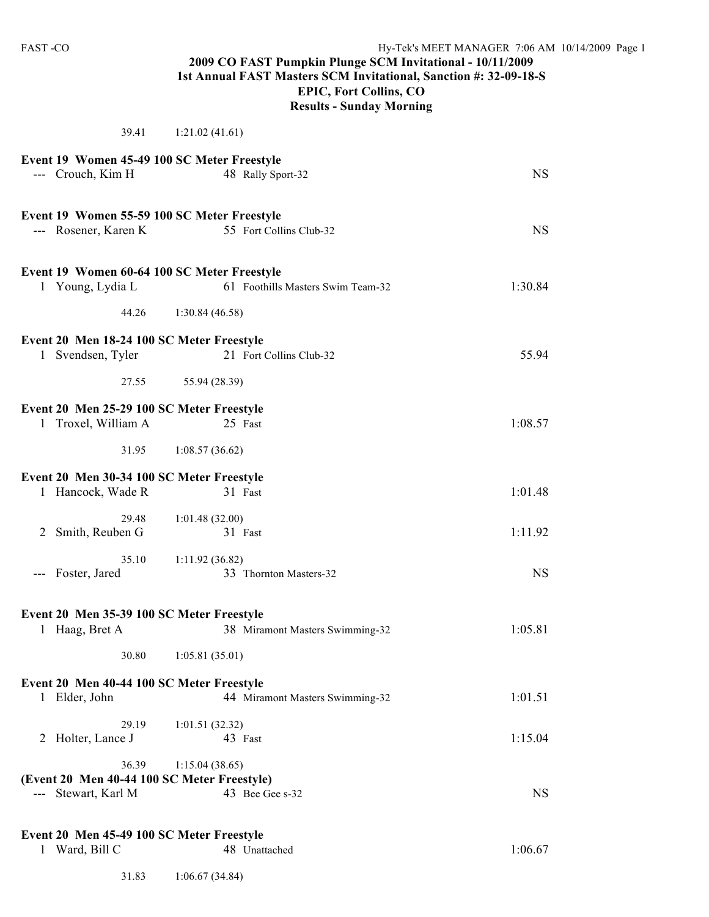#### **2009 CO FAST Pumpkin Plunge SCM Invitational - 10/11/2009 1st Annual FAST Masters SCM Invitational, Sanction #: 32-09-18-S EPIC, Fort Collins, CO Results - Sunday Morning**

39.41 1:21.02 (41.61) **Event 19 Women 45-49 100 SC Meter Freestyle** --- Crouch, Kim H 48 Rally Sport-32 NS **Event 19 Women 55-59 100 SC Meter Freestyle**<br>--- Rosener, Karen K 55 Fort Collins Club-32 --- Rosener, Karen K 55 Fort Collins Club-32 NS **Event 19 Women 60-64 100 SC Meter Freestyle** 1 Young, Lydia L 61 Foothills Masters Swim Team-32 1:30.84 44.26 1:30.84 (46.58) **Event 20 Men 18-24 100 SC Meter Freestyle** 1 Svendsen, Tyler 21 Fort Collins Club-32 55.94 27.55 55.94 (28.39) **Event 20 Men 25-29 100 SC Meter Freestyle** 1 Troxel, William A 25 Fast 1:08.57 31.95 1:08.57 (36.62) **Event 20 Men 30-34 100 SC Meter Freestyle** 1 Hancock, Wade R 31 Fast 1:01.48 29.48 1:01.48 (32.00) 2 Smith, Reuben G 31 Fast 1:11.92 35.10 1:11.92 (36.82) --- Foster, Jared 33 Thornton Masters-32 NS **Event 20 Men 35-39 100 SC Meter Freestyle** 1 Haag, Bret A 38 Miramont Masters Swimming-32 1:05.81 30.80 1:05.81 (35.01) **Event 20 Men 40-44 100 SC Meter Freestyle** 1 Elder, John 44 Miramont Masters Swimming-32 1:01.51 29.19 1:01.51 (32.32) 2 Holter, Lance J 43 Fast 1:15.04 36.39 1:15.04 (38.65) **(Event 20 Men 40-44 100 SC Meter Freestyle)** --- Stewart, Karl M 43 Bee Gee s-32 NS

#### **Event 20 Men 45-49 100 SC Meter Freestyle**

| Ward, Bill C | 48 Unattached | 1:06.67 |
|--------------|---------------|---------|
|              |               |         |

31.83 1:06.67 (34.84)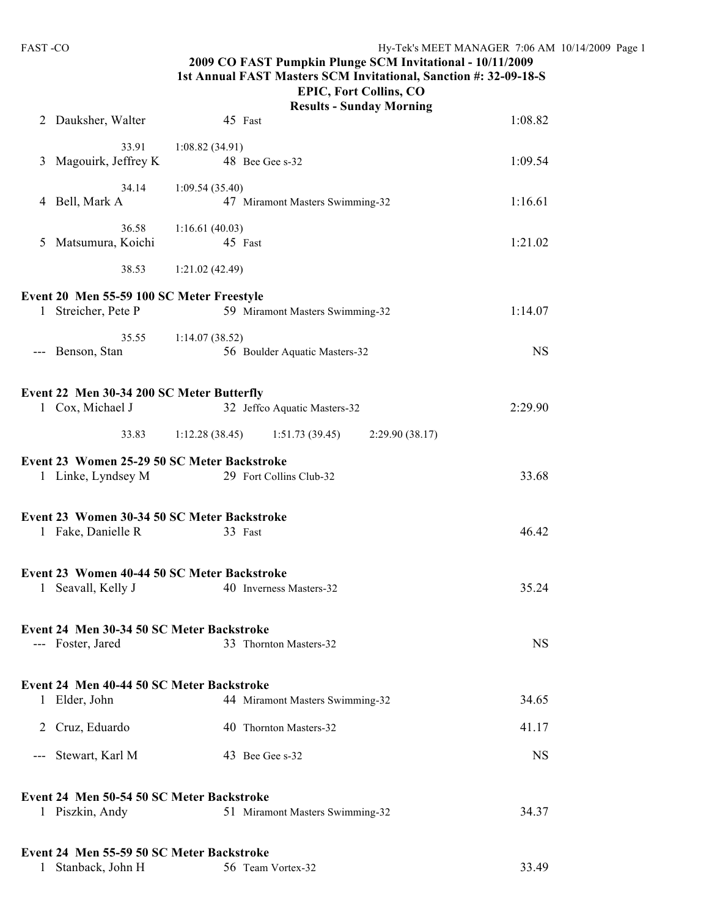## **2009 CO FAST Pumpkin Plunge SCM Invitational - 10/11/2009 1st Annual FAST Masters SCM Invitational, Sanction #: 32-09-18-S**

#### **EPIC, Fort Collins, CO Results - Sunday Morning**

|   | 2 Dauksher, Walter                                               | 45 Fast                                                                | 1:08.82   |
|---|------------------------------------------------------------------|------------------------------------------------------------------------|-----------|
| 3 | 33.91<br>Magouirk, Jeffrey K                                     | 1:08.82(34.91)<br>48 Bee Gee s-32                                      | 1:09.54   |
|   | 34.14<br>4 Bell, Mark A                                          | 1:09.54(35.40)<br>47 Miramont Masters Swimming-32                      | 1:16.61   |
|   | 36.58<br>5 Matsumura, Koichi                                     | 1:16.61(40.03)<br>45 Fast                                              | 1:21.02   |
|   | 38.53                                                            | 1:21.02(42.49)                                                         |           |
|   | Event 20 Men 55-59 100 SC Meter Freestyle<br>1 Streicher, Pete P | 59 Miramont Masters Swimming-32                                        | 1:14.07   |
|   | 35.55<br>--- Benson, Stan                                        | 1:14.07(38.52)<br>56 Boulder Aquatic Masters-32                        | <b>NS</b> |
|   | Event 22 Men 30-34 200 SC Meter Butterfly<br>1 Cox, Michael J    | 32 Jeffco Aquatic Masters-32                                           | 2:29.90   |
|   | 33.83                                                            | 1:12.28(38.45)<br>2:29.90(38.17)<br>1:51.73(39.45)                     |           |
|   | 1 Linke, Lyndsey M                                               | Event 23 Women 25-29 50 SC Meter Backstroke<br>29 Fort Collins Club-32 | 33.68     |
|   | 1 Fake, Danielle R                                               | Event 23 Women 30-34 50 SC Meter Backstroke<br>33 Fast                 | 46.42     |
|   | 1 Seavall, Kelly J                                               | Event 23 Women 40-44 50 SC Meter Backstroke<br>40 Inverness Masters-32 | 35.24     |
|   | Event 24 Men 30-34 50 SC Meter Backstroke<br>--- Foster, Jared   | 33 Thornton Masters-32                                                 | <b>NS</b> |
|   | Event 24 Men 40-44 50 SC Meter Backstroke<br>1 Elder, John       | 44 Miramont Masters Swimming-32                                        | 34.65     |
|   | 2 Cruz, Eduardo                                                  | 40 Thornton Masters-32                                                 | 41.17     |
|   | --- Stewart, Karl M                                              | 43 Bee Gee s-32                                                        | <b>NS</b> |
|   | Event 24 Men 50-54 50 SC Meter Backstroke<br>1 Piszkin, Andy     | 51 Miramont Masters Swimming-32                                        | 34.37     |
|   | Event 24 Men 55-59 50 SC Meter Backstroke<br>Stanback, John H    | 56 Team Vortex-32                                                      | 33.49     |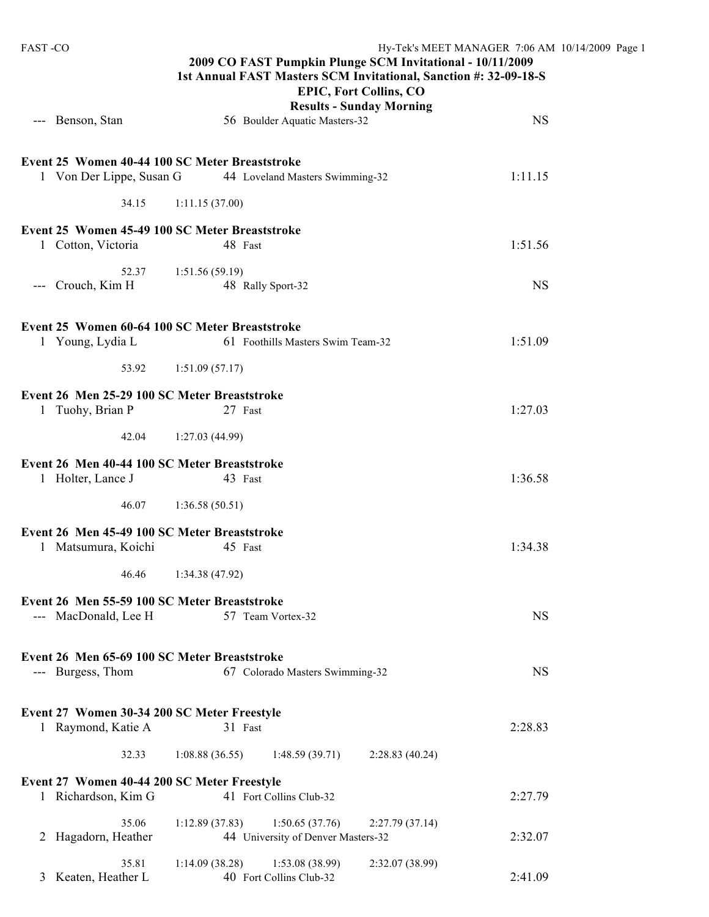| <b>FAST-CO</b>                                                             | Hy-Tek's MEET MANAGER 7:06 AM 10/14/2009 Page 1<br>2009 CO FAST Pumpkin Plunge SCM Invitational - 10/11/2009<br>1st Annual FAST Masters SCM Invitational, Sanction #: 32-09-18-S<br><b>EPIC, Fort Collins, CO</b><br><b>Results - Sunday Morning</b> |           |  |  |  |
|----------------------------------------------------------------------------|------------------------------------------------------------------------------------------------------------------------------------------------------------------------------------------------------------------------------------------------------|-----------|--|--|--|
| --- Benson, Stan                                                           | 56 Boulder Aquatic Masters-32                                                                                                                                                                                                                        | <b>NS</b> |  |  |  |
| Event 25 Women 40-44 100 SC Meter Breaststroke<br>1 Von Der Lippe, Susan G | 44 Loveland Masters Swimming-32                                                                                                                                                                                                                      | 1:11.15   |  |  |  |
| 34.15                                                                      | 1:11.15(37.00)                                                                                                                                                                                                                                       |           |  |  |  |
| Event 25 Women 45-49 100 SC Meter Breaststroke<br>1 Cotton, Victoria       | 48 Fast                                                                                                                                                                                                                                              | 1:51.56   |  |  |  |
| 52.37<br>Crouch, Kim H<br>$\qquad \qquad - -$                              | 1:51.56(59.19)<br>48 Rally Sport-32                                                                                                                                                                                                                  | <b>NS</b> |  |  |  |
| Event 25 Women 60-64 100 SC Meter Breaststroke<br>1 Young, Lydia L         | 61 Foothills Masters Swim Team-32                                                                                                                                                                                                                    | 1:51.09   |  |  |  |
| 53.92                                                                      | 1:51.09(57.17)                                                                                                                                                                                                                                       |           |  |  |  |
| Event 26 Men 25-29 100 SC Meter Breaststroke<br>1 Tuohy, Brian P           | 27 Fast                                                                                                                                                                                                                                              | 1:27.03   |  |  |  |
| 42.04                                                                      | 1:27.03(44.99)                                                                                                                                                                                                                                       |           |  |  |  |
| Event 26 Men 40-44 100 SC Meter Breaststroke<br>1 Holter, Lance J          | 43 Fast                                                                                                                                                                                                                                              | 1:36.58   |  |  |  |
| 46.07                                                                      | 1:36.58(50.51)                                                                                                                                                                                                                                       |           |  |  |  |
| Event 26 Men 45-49 100 SC Meter Breaststroke<br>1 Matsumura, Koichi        | 45 Fast                                                                                                                                                                                                                                              | 1:34.38   |  |  |  |
| 46.46                                                                      | 1:34.38(47.92)                                                                                                                                                                                                                                       |           |  |  |  |
| Event 26 Men 55-59 100 SC Meter Breaststroke<br>--- MacDonald, Lee H       | 57 Team Vortex-32                                                                                                                                                                                                                                    | <b>NS</b> |  |  |  |
| Event 26 Men 65-69 100 SC Meter Breaststroke<br>--- Burgess, Thom          | 67 Colorado Masters Swimming-32                                                                                                                                                                                                                      | <b>NS</b> |  |  |  |
| Event 27 Women 30-34 200 SC Meter Freestyle<br>1 Raymond, Katie A          | 31 Fast                                                                                                                                                                                                                                              | 2:28.83   |  |  |  |
| 32.33                                                                      | 1:08.88(36.55)<br>1:48.59(39.71)<br>2:28.83(40.24)                                                                                                                                                                                                   |           |  |  |  |
| Event 27 Women 40-44 200 SC Meter Freestyle<br>1 Richardson, Kim G         | 41 Fort Collins Club-32                                                                                                                                                                                                                              | 2:27.79   |  |  |  |
| 35.06<br>Hagadorn, Heather<br>2                                            | 1:12.89(37.83)<br>1:50.65(37.76)<br>2:27.79(37.14)<br>44 University of Denver Masters-32                                                                                                                                                             | 2:32.07   |  |  |  |
| 35.81<br>Keaten, Heather L<br>3                                            | 1:53.08 (38.99)<br>1:14.09(38.28)<br>2:32.07 (38.99)<br>40 Fort Collins Club-32                                                                                                                                                                      | 2:41.09   |  |  |  |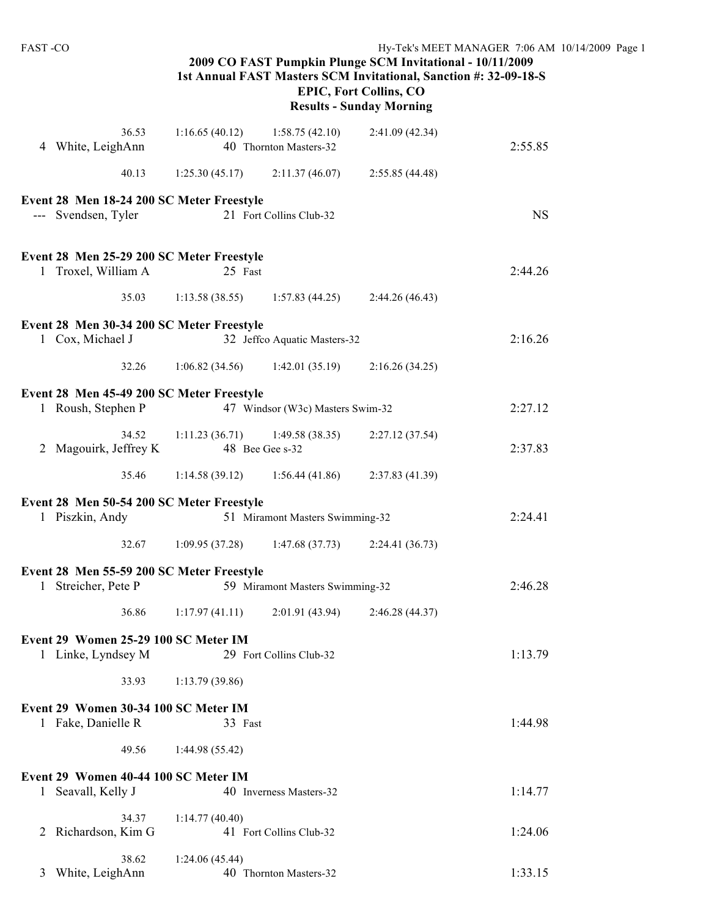| <b>FAST-CO</b>                                                   | Hy-Tek's MEET MANAGER 7:06 AM 10/14/2009 Page 1<br>2009 CO FAST Pumpkin Plunge SCM Invitational - 10/11/2009<br>1st Annual FAST Masters SCM Invitational, Sanction #: 32-09-18-S<br><b>EPIC, Fort Collins, CO</b><br><b>Results - Sunday Morning</b> |                                          |                 |           |  |
|------------------------------------------------------------------|------------------------------------------------------------------------------------------------------------------------------------------------------------------------------------------------------------------------------------------------------|------------------------------------------|-----------------|-----------|--|
| 36.53<br>4 White, LeighAnn                                       | 1:16.65(40.12)                                                                                                                                                                                                                                       | 1:58.75(42.10)<br>40 Thornton Masters-32 | 2:41.09(42.34)  | 2:55.85   |  |
| 40.13                                                            | 1:25.30(45.17)                                                                                                                                                                                                                                       | 2:11.37(46.07)                           | 2:55.85(44.48)  |           |  |
| Event 28 Men 18-24 200 SC Meter Freestyle<br>--- Svendsen, Tyler |                                                                                                                                                                                                                                                      | 21 Fort Collins Club-32                  |                 | <b>NS</b> |  |
| Event 28 Men 25-29 200 SC Meter Freestyle<br>1 Troxel, William A | 25 Fast                                                                                                                                                                                                                                              |                                          |                 | 2:44.26   |  |
| 35.03                                                            | 1:13.58(38.55)                                                                                                                                                                                                                                       | 1:57.83(44.25)                           | 2:44.26 (46.43) |           |  |
| Event 28 Men 30-34 200 SC Meter Freestyle<br>1 Cox, Michael J    |                                                                                                                                                                                                                                                      | 32 Jeffco Aquatic Masters-32             |                 | 2:16.26   |  |
| 32.26                                                            | 1:06.82(34.56)                                                                                                                                                                                                                                       | 1:42.01(35.19)                           | 2:16.26(34.25)  |           |  |
| Event 28 Men 45-49 200 SC Meter Freestyle<br>1 Roush, Stephen P  |                                                                                                                                                                                                                                                      | 47 Windsor (W3c) Masters Swim-32         |                 | 2:27.12   |  |
| 34.52<br>2 Magouirk, Jeffrey K                                   | 1:11.23(36.71)                                                                                                                                                                                                                                       | 1:49.58(38.35)<br>48 Bee Gee s-32        | 2:27.12(37.54)  | 2:37.83   |  |
| 35.46                                                            | 1:14.58(39.12)                                                                                                                                                                                                                                       | 1:56.44(41.86)                           | 2:37.83(41.39)  |           |  |
| Event 28 Men 50-54 200 SC Meter Freestyle<br>1 Piszkin, Andy     |                                                                                                                                                                                                                                                      | 51 Miramont Masters Swimming-32          |                 | 2:24.41   |  |
| 32.67                                                            | 1:09.95(37.28)                                                                                                                                                                                                                                       | 1:47.68(37.73)                           | 2:24.41(36.73)  |           |  |
| Event 28 Men 55-59 200 SC Meter Freestyle<br>1 Streicher, Pete P |                                                                                                                                                                                                                                                      | 59 Miramont Masters Swimming-32          |                 | 2:46.28   |  |
| 36.86                                                            | 1:17.97(41.11)                                                                                                                                                                                                                                       | 2:01.91(43.94)                           | 2:46.28(44.37)  |           |  |
| Event 29 Women 25-29 100 SC Meter IM<br>1 Linke, Lyndsey M       |                                                                                                                                                                                                                                                      | 29 Fort Collins Club-32                  |                 | 1:13.79   |  |
| 33.93                                                            | 1:13.79(39.86)                                                                                                                                                                                                                                       |                                          |                 |           |  |
| Event 29 Women 30-34 100 SC Meter IM<br>1 Fake, Danielle R       | 33 Fast                                                                                                                                                                                                                                              |                                          |                 | 1:44.98   |  |
| 49.56                                                            | 1:44.98(55.42)                                                                                                                                                                                                                                       |                                          |                 |           |  |
| Event 29 Women 40-44 100 SC Meter IM<br>1 Seavall, Kelly J       |                                                                                                                                                                                                                                                      | 40 Inverness Masters-32                  |                 | 1:14.77   |  |
| 34.37<br>2 Richardson, Kim G                                     | 1:14.77(40.40)                                                                                                                                                                                                                                       | 41 Fort Collins Club-32                  |                 | 1:24.06   |  |
| 38.62<br>3 White, LeighAnn                                       | 1:24.06(45.44)                                                                                                                                                                                                                                       | 40 Thornton Masters-32                   |                 | 1:33.15   |  |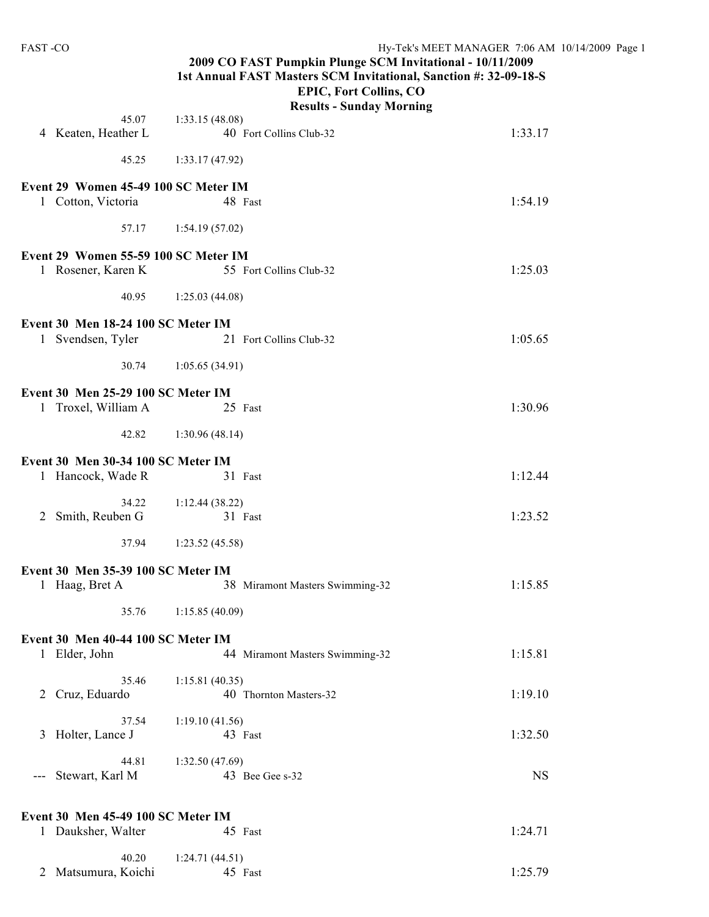| FAST-CO                                                    | Hy-Tek's MEET MANAGER 7:06 AM 10/14/2009 Page 1<br>2009 CO FAST Pumpkin Plunge SCM Invitational - 10/11/2009<br>1st Annual FAST Masters SCM Invitational, Sanction #: 32-09-18-S<br><b>EPIC, Fort Collins, CO</b> |           |  |  |
|------------------------------------------------------------|-------------------------------------------------------------------------------------------------------------------------------------------------------------------------------------------------------------------|-----------|--|--|
|                                                            | <b>Results - Sunday Morning</b>                                                                                                                                                                                   |           |  |  |
| 45.07<br>4 Keaten, Heather L                               | 1:33.15(48.08)<br>40 Fort Collins Club-32                                                                                                                                                                         | 1:33.17   |  |  |
| 45.25                                                      | 1:33.17(47.92)                                                                                                                                                                                                    |           |  |  |
| Event 29 Women 45-49 100 SC Meter IM<br>1 Cotton, Victoria | 48 Fast                                                                                                                                                                                                           | 1:54.19   |  |  |
| 57.17                                                      | 1:54.19(57.02)                                                                                                                                                                                                    |           |  |  |
|                                                            |                                                                                                                                                                                                                   |           |  |  |
| Event 29 Women 55-59 100 SC Meter IM<br>1 Rosener, Karen K | 55 Fort Collins Club-32                                                                                                                                                                                           | 1:25.03   |  |  |
| 40.95                                                      | 1:25.03(44.08)                                                                                                                                                                                                    |           |  |  |
| Event 30 Men 18-24 100 SC Meter IM                         |                                                                                                                                                                                                                   |           |  |  |
| 1 Svendsen, Tyler                                          | 21 Fort Collins Club-32                                                                                                                                                                                           | 1:05.65   |  |  |
| 30.74                                                      | 1:05.65(34.91)                                                                                                                                                                                                    |           |  |  |
| Event 30 Men 25-29 100 SC Meter IM<br>1 Troxel, William A  | 25 Fast                                                                                                                                                                                                           | 1:30.96   |  |  |
| 42.82                                                      | 1:30.96(48.14)                                                                                                                                                                                                    |           |  |  |
| Event 30 Men 30-34 100 SC Meter IM                         |                                                                                                                                                                                                                   |           |  |  |
| 1 Hancock, Wade R                                          | 31 Fast                                                                                                                                                                                                           | 1:12.44   |  |  |
| 34.22<br>Smith, Reuben G<br>2                              | 1:12.44(38.22)<br>31 Fast                                                                                                                                                                                         | 1:23.52   |  |  |
| 37.94                                                      | 1:23.52(45.58)                                                                                                                                                                                                    |           |  |  |
| Event 30 Men 35-39 100 SC Meter IM                         |                                                                                                                                                                                                                   |           |  |  |
| 1 Haag, Bret A                                             | 38 Miramont Masters Swimming-32                                                                                                                                                                                   | 1:15.85   |  |  |
| 35.76                                                      | 1:15.85(40.09)                                                                                                                                                                                                    |           |  |  |
| Event 30 Men 40-44 100 SC Meter IM                         |                                                                                                                                                                                                                   |           |  |  |
| 1 Elder, John                                              | 44 Miramont Masters Swimming-32                                                                                                                                                                                   | 1:15.81   |  |  |
| 35.46<br>Cruz, Eduardo<br>$\overline{2}$                   | 1:15.81(40.35)<br>40 Thornton Masters-32                                                                                                                                                                          | 1:19.10   |  |  |
| 37.54<br>Holter, Lance J<br>3                              | 1:19.10(41.56)<br>43 Fast                                                                                                                                                                                         | 1:32.50   |  |  |
| 44.81                                                      | 1:32.50(47.69)                                                                                                                                                                                                    |           |  |  |
| Stewart, Karl M<br>$---$                                   | 43 Bee Gee s-32                                                                                                                                                                                                   | <b>NS</b> |  |  |
| Event 30 Men 45-49 100 SC Meter IM                         |                                                                                                                                                                                                                   |           |  |  |
| 1 Dauksher, Walter                                         | 45 Fast                                                                                                                                                                                                           | 1:24.71   |  |  |
| 40.20<br>2 Matsumura, Koichi                               | 1:24.71(44.51)<br>45 Fast                                                                                                                                                                                         | 1:25.79   |  |  |